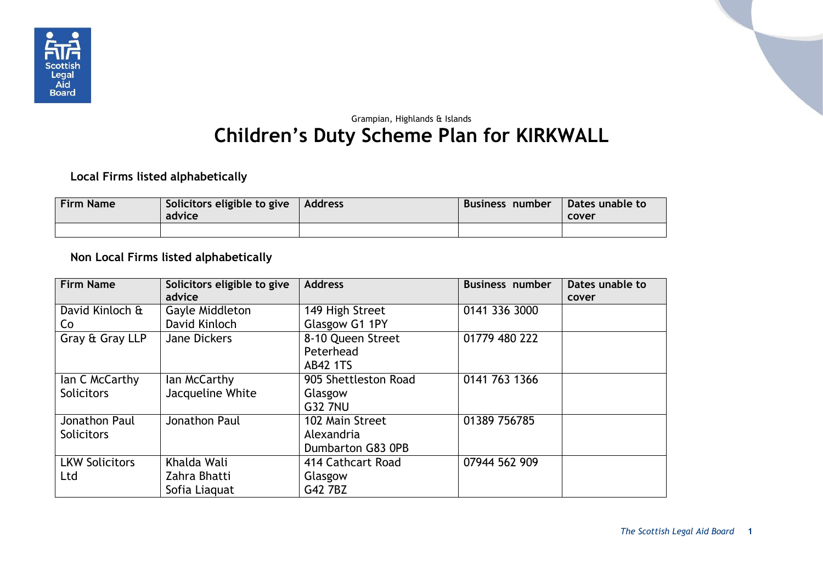

## Grampian, Highlands & Islands **Children's Duty Scheme Plan for KIRKWALL**

## **Local Firms listed alphabetically**

| <b>Firm Name</b> | Solicitors eligible to give<br>advice | Address | Business number | Dates unable to<br>cover |
|------------------|---------------------------------------|---------|-----------------|--------------------------|
|                  |                                       |         |                 |                          |

## **Non Local Firms listed alphabetically**

| <b>Firm Name</b>      | Solicitors eligible to give<br>advice | <b>Address</b>       | <b>Business number</b> | Dates unable to |
|-----------------------|---------------------------------------|----------------------|------------------------|-----------------|
|                       |                                       |                      |                        | cover           |
| David Kinloch &       | Gayle Middleton                       | 149 High Street      | 0141 336 3000          |                 |
| Co                    | David Kinloch                         | Glasgow G1 1PY       |                        |                 |
| Gray & Gray LLP       | <b>Jane Dickers</b>                   | 8-10 Queen Street    | 01779 480 222          |                 |
|                       |                                       | Peterhead            |                        |                 |
|                       |                                       | <b>AB42 1TS</b>      |                        |                 |
|                       | lan McCarthy                          | 905 Shettleston Road | 0141 763 1366          |                 |
| lan C McCarthy        |                                       |                      |                        |                 |
| <b>Solicitors</b>     | Jacqueline White                      | Glasgow              |                        |                 |
|                       |                                       | <b>G32 7NU</b>       |                        |                 |
| Jonathon Paul         | Jonathon Paul                         | 102 Main Street      | 01389 756785           |                 |
| <b>Solicitors</b>     |                                       | Alexandria           |                        |                 |
|                       |                                       | Dumbarton G83 0PB    |                        |                 |
| <b>LKW Solicitors</b> | Khalda Wali                           | 414 Cathcart Road    | 07944 562 909          |                 |
| Ltd                   | Zahra Bhatti                          | Glasgow              |                        |                 |
|                       | Sofia Liaguat                         | G42 7BZ              |                        |                 |